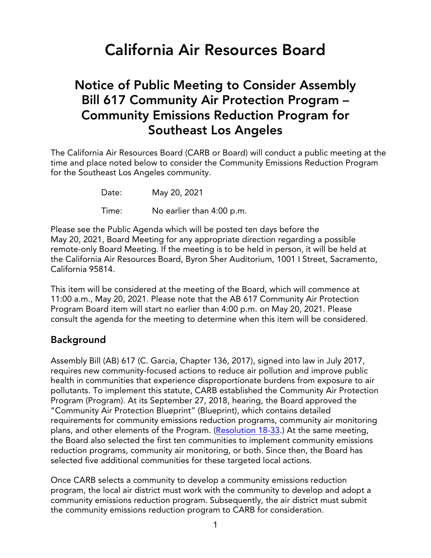# **California Air Resources Board**

# **Notice of Public Meeting to Consider Assembly Bill 617 Community Air Protection Program – Community Emissions Reduction Program for Southeast Los Angeles**

The California Air Resources Board (CARB or Board) will conduct a public meeting at the time and place noted below to consider the Community Emissions Reduction Program for the Southeast Los Angeles community.

Date: May 20, 2021

Time: No earlier than 4:00 p.m.

Please see the Public Agenda which will be posted ten days before the May 20, 2021, Board Meeting for any appropriate direction regarding a possible remote-only Board Meeting. If the meeting is to be held in person, it will be held at the California Air Resources Board, Byron Sher Auditorium, 1001 I Street, Sacramento, California 95814.

This item will be considered at the meeting of the Board, which will commence at 11:00 a.m., May 20, 2021. Please note that the AB 617 Community Air Protection Program Board item will start no earlier than 4:00 p.m. on May 20, 2021. Please consult the agenda for the meeting to determine when this item will be considered.

### **Background**

Assembly Bill (AB) 617 (C. Garcia, Chapter 136, 2017), signed into law in July 2017, requires new community-focused actions to reduce air pollution and improve public health in communities that experience disproportionate burdens from exposure to air pollutants. To implement this statute, CARB established the Community Air Protection Program (Program). At its September 27, 2018, hearing, the Board approved the "Community Air Protection Blueprint" (Blueprint), which contains detailed requirements for community emissions reduction programs, community air monitoring plans, and other elements of the Program. ([Resolution](https://ww3.arb.ca.gov/board/res/2018/res18-33.pdf?_ga=2.264660876.2084205801.1617482611-279342388.1540266927) 18-33.) At the same meeting, the Board also selected the first ten communities to implement community emissions reduction programs, community air monitoring, or both. Since then, the Board has selected five additional communities for these targeted local actions.

Once CARB selects a community to develop a community emissions reduction program, the local air district must work with the community to develop and adopt a community emissions reduction program. Subsequently, the air district must submit the community emissions reduction program to CARB for consideration.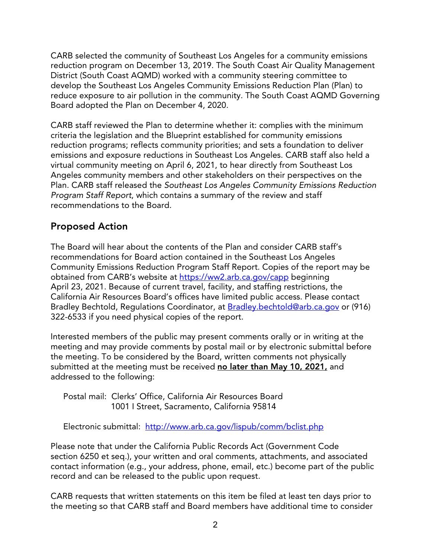CARB selected the community of Southeast Los Angeles for a community emissions reduction program on December 13, 2019. The South Coast Air Quality Management District (South Coast AQMD) worked with a community steering committee to develop the Southeast Los Angeles Community Emissions Reduction Plan (Plan) to reduce exposure to air pollution in the community. The South Coast AQMD Governing Board adopted the Plan on December 4, 2020.

CARB staff reviewed the Plan to determine whether it: complies with the minimum criteria the legislation and the Blueprint established for community emissions reduction programs; reflects community priorities; and sets a foundation to deliver emissions and exposure reductions in Southeast Los Angeles. CARB staff also held a virtual community meeting on April 6, 2021, to hear directly from Southeast Los Angeles community members and other stakeholders on their perspectives on the Plan. CARB staff released the *Southeast Los Angeles Community Emissions Reduction Program Staff Report*, which contains a summary of the review and staff recommendations to the Board.

# **Proposed Action**

The Board will hear about the contents of the Plan and consider CARB staff's recommendations for Board action contained in the Southeast Los Angeles Community Emissions Reduction Program Staff Report. Copies of the report may be obtained from CARB's website at <https://ww2.arb.ca.gov/capp> beginning April 23, 2021. Because of current travel, facility, and staffing restrictions, the California Air Resources Board's offices have limited public access. Please contact Bradley Bechtold, Regulations Coordinator, at [Bradley.bechtold@arb.ca.gov](mailto:Bradley.bechtold@arb.ca.gov) or (916) 322-6533 if you need physical copies of the report.

Interested members of the public may present comments orally or in writing at the meeting and may provide comments by postal mail or by electronic submittal before the meeting. To be considered by the Board, written comments not physically submitted at the meeting must be received **no later than May 10, 2021,** and addressed to the following:

Postal mail: Clerks' Office, California Air Resources Board 1001 I Street, Sacramento, California 95814

Electronic submittal: http://www.arb.ca.gov/lispub/comm/bclist.php

Please note that under the California Public Records Act (Government Code section 6250 et seq.), your written and oral comments, attachments, and associated contact information (e.g., your address, phone, email, etc.) become part of the public record and can be released to the public upon request.

CARB requests that written statements on this item be filed at least ten days prior to the meeting so that CARB staff and Board members have additional time to consider